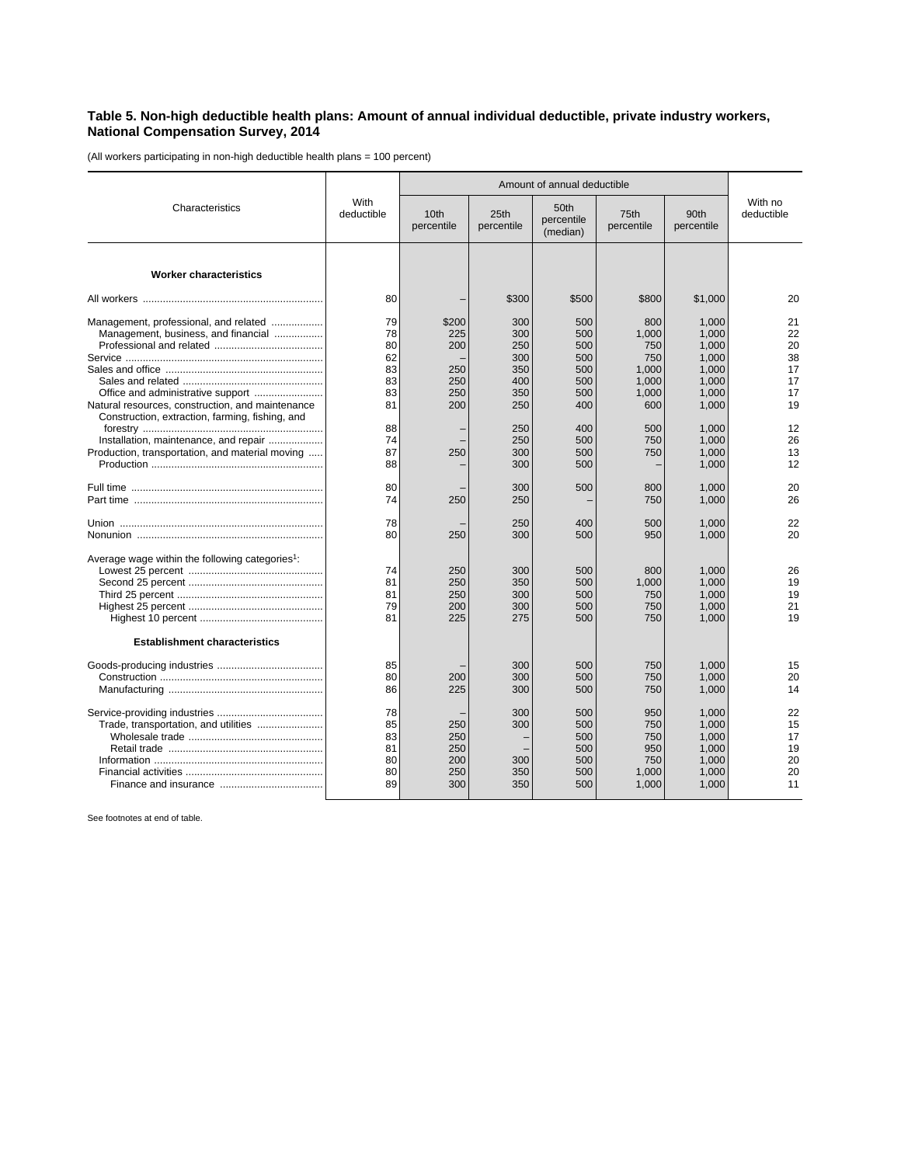## **Table 5. Non-high deductible health plans: Amount of annual individual deductible, private industry workers, National Compensation Survey, 2014**

(All workers participating in non-high deductible health plans = 100 percent)

|                                                                                                                                             | With<br>deductible                           | Amount of annual deductible                     |                                                      |                                                      |                                                              |                                                                      |                                              |
|---------------------------------------------------------------------------------------------------------------------------------------------|----------------------------------------------|-------------------------------------------------|------------------------------------------------------|------------------------------------------------------|--------------------------------------------------------------|----------------------------------------------------------------------|----------------------------------------------|
| Characteristics                                                                                                                             |                                              | 10 <sub>th</sub><br>percentile                  | 25th<br>percentile                                   | 50th<br>percentile<br>(median)                       | 75th<br>percentile                                           | 90th<br>percentile                                                   | With no<br>deductible                        |
| <b>Worker characteristics</b>                                                                                                               |                                              |                                                 |                                                      |                                                      |                                                              |                                                                      |                                              |
|                                                                                                                                             | 80                                           |                                                 | \$300                                                | \$500                                                | \$800                                                        | \$1,000                                                              | 20                                           |
| Management, professional, and related<br>Management, business, and financial<br>Natural resources, construction, and maintenance            | 79<br>78<br>80<br>62<br>83<br>83<br>83<br>81 | \$200<br>225<br>200<br>250<br>250<br>250<br>200 | 300<br>300<br>250<br>300<br>350<br>400<br>350<br>250 | 500<br>500<br>500<br>500<br>500<br>500<br>500<br>400 | 800<br>1.000<br>750<br>750<br>1.000<br>1.000<br>1,000<br>600 | 1,000<br>1.000<br>1.000<br>1,000<br>1,000<br>1.000<br>1,000<br>1,000 | 21<br>22<br>20<br>38<br>17<br>17<br>17<br>19 |
| Construction, extraction, farming, fishing, and<br>Installation, maintenance, and repair<br>Production, transportation, and material moving | 88<br>74<br>87<br>88                         | 250                                             | 250<br>250<br>300<br>300                             | 400<br>500<br>500<br>500                             | 500<br>750<br>750                                            | 1,000<br>1,000<br>1,000<br>1,000                                     | 12<br>26<br>13<br>12                         |
|                                                                                                                                             | 80<br>74                                     | 250                                             | 300<br>250                                           | 500                                                  | 800<br>750                                                   | 1,000<br>1,000                                                       | 20<br>26                                     |
|                                                                                                                                             | 78<br>80                                     | 250                                             | 250<br>300                                           | 400<br>500                                           | 500<br>950                                                   | 1,000<br>1,000                                                       | 22<br>20                                     |
| Average wage within the following categories <sup>1</sup> :<br><b>Establishment characteristics</b>                                         | 74<br>81<br>81<br>79<br>81                   | 250<br>250<br>250<br>200<br>225                 | 300<br>350<br>300<br>300<br>275                      | 500<br>500<br>500<br>500<br>500                      | 800<br>1.000<br>750<br>750<br>750                            | 1,000<br>1.000<br>1,000<br>1,000<br>1,000                            | 26<br>19<br>19<br>21<br>19                   |
|                                                                                                                                             | 85<br>80<br>86                               | 200<br>225                                      | 300<br>300<br>300                                    | 500<br>500<br>500                                    | 750<br>750<br>750                                            | 1.000<br>1.000<br>1,000                                              | 15<br>20<br>14                               |
|                                                                                                                                             | 78<br>85<br>83<br>81<br>80<br>80<br>89       | 250<br>250<br>250<br>200<br>250<br>300          | 300<br>300<br>300<br>350<br>350                      | 500<br>500<br>500<br>500<br>500<br>500<br>500        | 950<br>750<br>750<br>950<br>750<br>1,000<br>1,000            | 1.000<br>1,000<br>1,000<br>1,000<br>1.000<br>1,000<br>1,000          | 22<br>15<br>17<br>19<br>20<br>20<br>11       |

See footnotes at end of table.